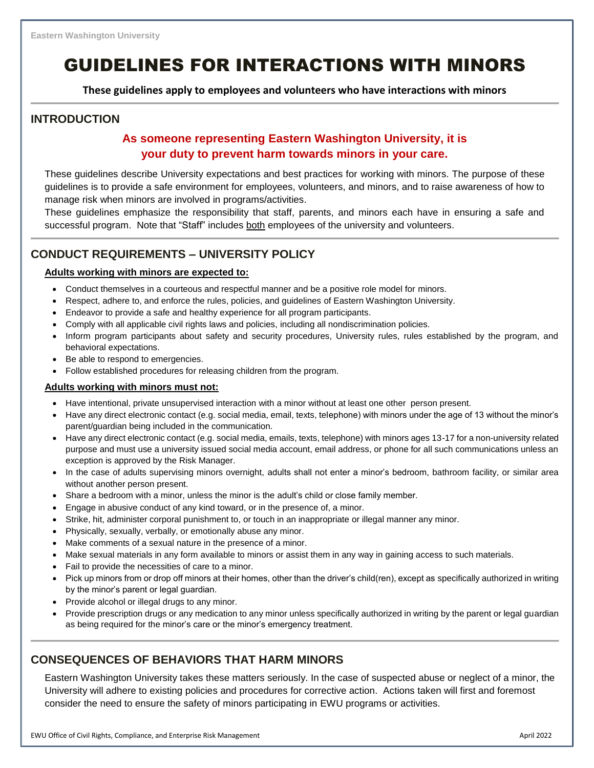# GUIDELINES FOR INTERACTIONS WITH MINORS

**These guidelines apply to employees and volunteers who have interactions with minors**

### **INTRODUCTION**

### **As someone representing Eastern Washington University, it is your duty to prevent harm towards minors in your care.**

These guidelines describe University expectations and best practices for working with minors. The purpose of these guidelines is to provide a safe environment for employees, volunteers, and minors, and to raise awareness of how to manage risk when minors are involved in programs/activities.

These guidelines emphasize the responsibility that staff, parents, and minors each have in ensuring a safe and successful program. Note that "Staff" includes both employees of the university and volunteers.

### **CONDUCT REQUIREMENTS – UNIVERSITY POLICY**

#### **Adults working with minors are expected to:**

- Conduct themselves in a courteous and respectful manner and be a positive role model for minors.
- Respect, adhere to, and enforce the rules, policies, and guidelines of Eastern Washington University.
- Endeavor to provide a safe and healthy experience for all program participants.
- Comply with all applicable civil rights laws and policies, including all nondiscrimination policies.
- Inform program participants about safety and security procedures, University rules, rules established by the program, and behavioral expectations.
- Be able to respond to emergencies.
- Follow established procedures for releasing children from the program.

#### **Adults working with minors must not:**

- Have intentional, private unsupervised interaction with a minor without at least one other person present.
- Have any direct electronic contact (e.g. social media, email, texts, telephone) with minors under the age of 13 without the minor's parent/guardian being included in the communication.
- Have any direct electronic contact (e.g. social media, emails, texts, telephone) with minors ages 13-17 for a non-university related purpose and must use a university issued social media account, email address, or phone for all such communications unless an exception is approved by the Risk Manager.
- In the case of adults supervising minors overnight, adults shall not enter a minor's bedroom, bathroom facility, or similar area without another person present.
- Share a bedroom with a minor, unless the minor is the adult's child or close family member.
- Engage in abusive conduct of any kind toward, or in the presence of, a minor.
- Strike, hit, administer corporal punishment to, or touch in an inappropriate or illegal manner any minor.
- Physically, sexually, verbally, or emotionally abuse any minor.
- Make comments of a sexual nature in the presence of a minor.
- Make sexual materials in any form available to minors or assist them in any way in gaining access to such materials.
- Fail to provide the necessities of care to a minor.
- Pick up minors from or drop off minors at their homes, other than the driver's child(ren), except as specifically authorized in writing by the minor's parent or legal guardian.
- Provide alcohol or illegal drugs to any minor.
- Provide prescription drugs or any medication to any minor unless specifically authorized in writing by the parent or legal guardian as being required for the minor's care or the minor's emergency treatment.

### **CONSEQUENCES OF BEHAVIORS THAT HARM MINORS**

Eastern Washington University takes these matters seriously. In the case of suspected abuse or neglect of a minor, the University will adhere to existing policies and procedures for corrective action. Actions taken will first and foremost consider the need to ensure the safety of minors participating in EWU programs or activities.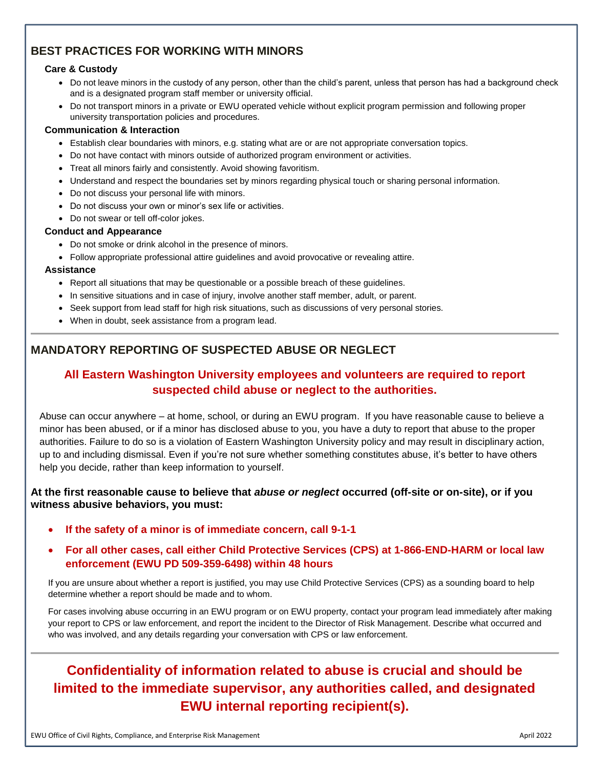### **BEST PRACTICES FOR WORKING WITH MINORS**

#### **Care & Custody**

- Do not leave minors in the custody of any person, other than the child's parent, unless that person has had a background check and is a designated program staff member or university official.
- Do not transport minors in a private or EWU operated vehicle without explicit program permission and following proper university transportation policies and procedures.

#### **Communication & Interaction**

- Establish clear boundaries with minors, e.g. stating what are or are not appropriate conversation topics.
- Do not have contact with minors outside of authorized program environment or activities.
- Treat all minors fairly and consistently. Avoid showing favoritism.
- Understand and respect the boundaries set by minors regarding physical touch or sharing personal information.
- Do not discuss your personal life with minors.
- Do not discuss your own or minor's sex life or activities.
- Do not swear or tell off-color jokes.

#### **Conduct and Appearance**

- Do not smoke or drink alcohol in the presence of minors.
- Follow appropriate professional attire guidelines and avoid provocative or revealing attire.

#### **Assistance**

- Report all situations that may be questionable or a possible breach of these guidelines.
- In sensitive situations and in case of injury, involve another staff member, adult, or parent.
- Seek support from lead staff for high risk situations, such as discussions of very personal stories.
- When in doubt, seek assistance from a program lead.

### **MANDATORY REPORTING OF SUSPECTED ABUSE OR NEGLECT**

### **All Eastern Washington University employees and volunteers are required to report suspected child abuse or neglect to the authorities.**

Abuse can occur anywhere – at home, school, or during an EWU program. If you have reasonable cause to believe a minor has been abused, or if a minor has disclosed abuse to you, you have a duty to report that abuse to the proper authorities. Failure to do so is a violation of Eastern Washington University policy and may result in disciplinary action, up to and including dismissal. Even if you're not sure whether something constitutes abuse, it's better to have others help you decide, rather than keep information to yourself.

#### **At the first reasonable cause to believe that** *abuse or neglect* **occurred (off-site or on-site), or if you witness abusive behaviors, you must:**

• **If the safety of a minor is of immediate concern, call 9-1-1** 

### • **For all other cases, call either Child Protective Services (CPS) at 1-866-END-HARM or local law enforcement (EWU PD 509-359-6498) within 48 hours**

If you are unsure about whether a report is justified, you may use Child Protective Services (CPS) as a sounding board to help determine whether a report should be made and to whom.

For cases involving abuse occurring in an EWU program or on EWU property, contact your program lead immediately after making your report to CPS or law enforcement, and report the incident to the Director of Risk Management. Describe what occurred and who was involved, and any details regarding your conversation with CPS or law enforcement.

## **Confidentiality of information related to abuse is crucial and should be limited to the immediate supervisor, any authorities called, and designated EWU internal reporting recipient(s).**